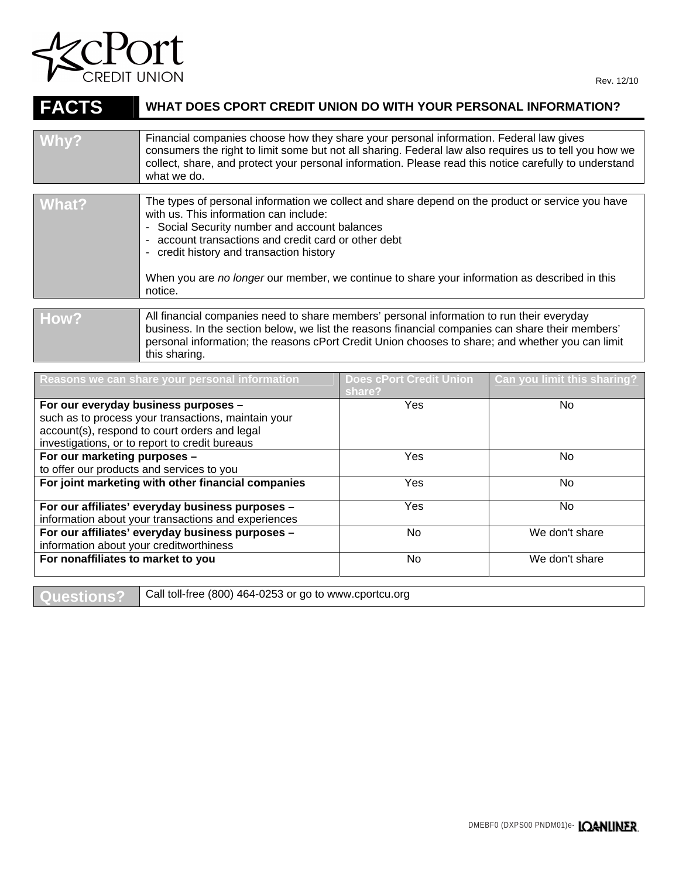

| <b>FACTS</b> | WHAT DOES CPORT CREDIT UNION DO WITH YOUR PERSONAL INFORMATION?                                                                                                                                                                                                                                                                                                                                           |                                          |                             |  |
|--------------|-----------------------------------------------------------------------------------------------------------------------------------------------------------------------------------------------------------------------------------------------------------------------------------------------------------------------------------------------------------------------------------------------------------|------------------------------------------|-----------------------------|--|
|              |                                                                                                                                                                                                                                                                                                                                                                                                           |                                          |                             |  |
| Why?         | Financial companies choose how they share your personal information. Federal law gives<br>consumers the right to limit some but not all sharing. Federal law also requires us to tell you how we<br>collect, share, and protect your personal information. Please read this notice carefully to understand<br>what we do.                                                                                 |                                          |                             |  |
|              |                                                                                                                                                                                                                                                                                                                                                                                                           |                                          |                             |  |
| What?        | The types of personal information we collect and share depend on the product or service you have<br>with us. This information can include:<br>- Social Security number and account balances<br>account transactions and credit card or other debt<br>- credit history and transaction history<br>When you are no longer our member, we continue to share your information as described in this<br>notice. |                                          |                             |  |
|              |                                                                                                                                                                                                                                                                                                                                                                                                           |                                          |                             |  |
| How?         | All financial companies need to share members' personal information to run their everyday<br>business. In the section below, we list the reasons financial companies can share their members'<br>personal information; the reasons cPort Credit Union chooses to share; and whether you can limit<br>this sharing.                                                                                        |                                          |                             |  |
|              |                                                                                                                                                                                                                                                                                                                                                                                                           |                                          |                             |  |
|              | Reasons we can share your personal information                                                                                                                                                                                                                                                                                                                                                            | <b>Does cPort Credit Union</b><br>charo? | Can you limit this sharing? |  |

| <b>Reasons we can share your personal imormation</b>                                                    | וטווטון שוכטוני של אינו<br>share? | Gan yuu miiit uno onaring : |
|---------------------------------------------------------------------------------------------------------|-----------------------------------|-----------------------------|
| For our everyday business purposes -<br>such as to process your transactions, maintain your             | Yes                               | No.                         |
| account(s), respond to court orders and legal<br>investigations, or to report to credit bureaus         |                                   |                             |
| For our marketing purposes -<br>to offer our products and services to you                               | Yes                               | No.                         |
| For joint marketing with other financial companies                                                      | Yes                               | No.                         |
| For our affiliates' everyday business purposes -<br>information about your transactions and experiences | Yes                               | No                          |
| For our affiliates' everyday business purposes -<br>information about your creditworthiness             | No.                               | We don't share              |
| For nonaffiliates to market to you                                                                      | No.                               | We don't share              |

Questions? Call toll-free (800) 464-0253 or go to www.cportcu.org